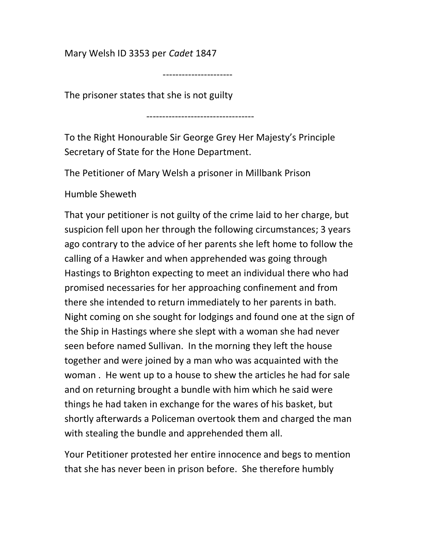Mary Welsh ID 3353 per Cadet 1847

----------------------

The prisoner states that she is not guilty

----------------------------------

To the Right Honourable Sir George Grey Her Majesty's Principle Secretary of State for the Hone Department.

The Petitioner of Mary Welsh a prisoner in Millbank Prison

Humble Sheweth

That your petitioner is not guilty of the crime laid to her charge, but suspicion fell upon her through the following circumstances; 3 years ago contrary to the advice of her parents she left home to follow the calling of a Hawker and when apprehended was going through Hastings to Brighton expecting to meet an individual there who had promised necessaries for her approaching confinement and from there she intended to return immediately to her parents in bath. Night coming on she sought for lodgings and found one at the sign of the Ship in Hastings where she slept with a woman she had never seen before named Sullivan. In the morning they left the house together and were joined by a man who was acquainted with the woman . He went up to a house to shew the articles he had for sale and on returning brought a bundle with him which he said were things he had taken in exchange for the wares of his basket, but shortly afterwards a Policeman overtook them and charged the man with stealing the bundle and apprehended them all.

Your Petitioner protested her entire innocence and begs to mention that she has never been in prison before. She therefore humbly